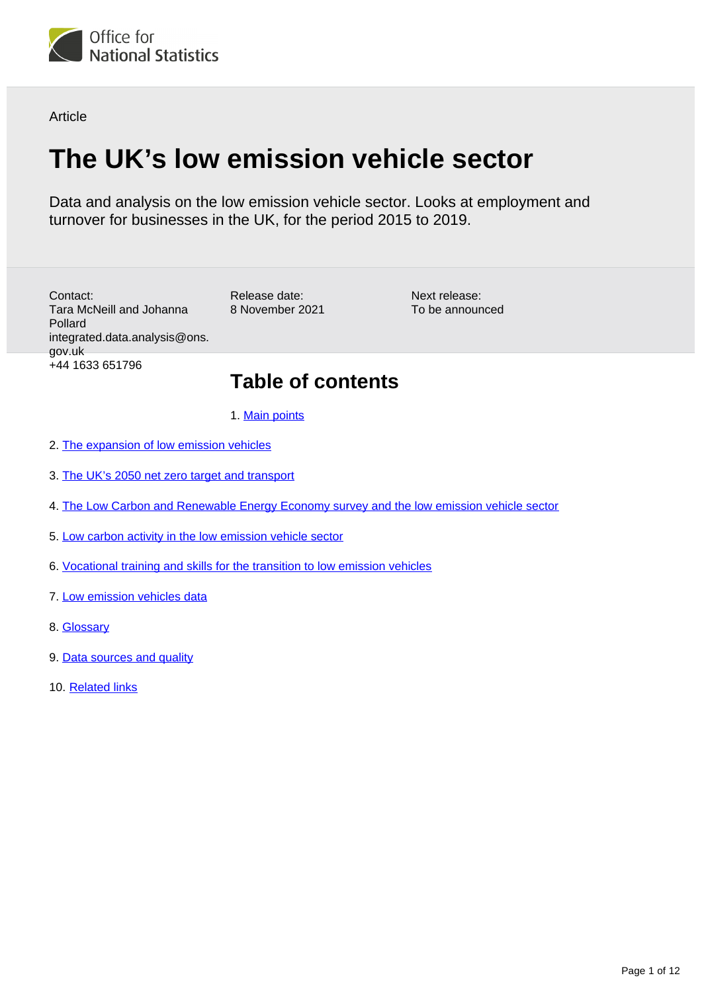

**Article** 

# **The UK's low emission vehicle sector**

Data and analysis on the low emission vehicle sector. Looks at employment and turnover for businesses in the UK, for the period 2015 to 2019.

Contact: Tara McNeill and Johanna Pollard integrated.data.analysis@ons. gov.uk +44 1633 651796

Release date: 8 November 2021

Next release: To be announced

## **Table of contents**

1. [Main points](#page-1-0)

- 2. [The expansion of low emission vehicles](#page-1-1)
- 3. [The UK's 2050 net zero target and transport](#page-2-0)
- 4. [The Low Carbon and Renewable Energy Economy survey and the low emission vehicle sector](#page-2-1)
- 5. [Low carbon activity in the low emission vehicle sector](#page-2-2)
- 6. [Vocational training and skills for the transition to low emission vehicles](#page-7-0)
- 7. [Low emission vehicles data](#page-9-0)
- 8. [Glossary](#page-9-1)
- 9. [Data sources and quality](#page-9-2)
- 10. [Related links](#page-11-0)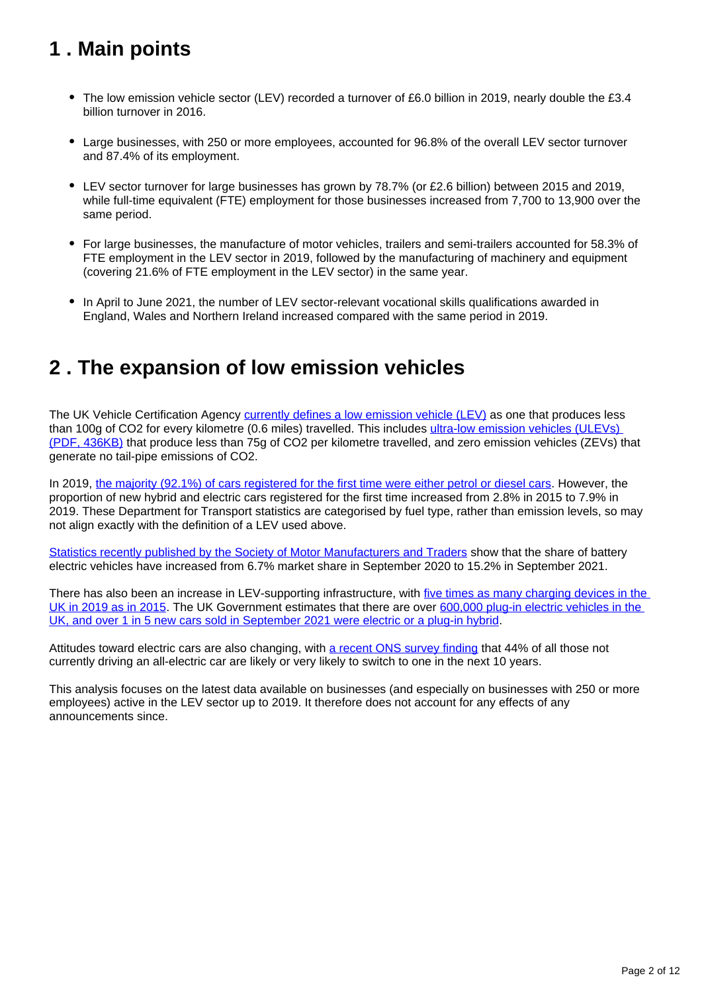## <span id="page-1-0"></span>**1 . Main points**

- The low emission vehicle sector (LEV) recorded a turnover of £6.0 billion in 2019, nearly double the £3.4 billion turnover in 2016.
- Large businesses, with 250 or more employees, accounted for 96.8% of the overall LEV sector turnover and 87.4% of its employment.
- LEV sector turnover for large businesses has grown by 78.7% (or £2.6 billion) between 2015 and 2019, while full-time equivalent (FTE) employment for those businesses increased from 7,700 to 13,900 over the same period.
- For large businesses, the manufacture of motor vehicles, trailers and semi-trailers accounted for 58.3% of FTE employment in the LEV sector in 2019, followed by the manufacturing of machinery and equipment (covering 21.6% of FTE employment in the LEV sector) in the same year.
- In April to June 2021, the number of LEV sector-relevant vocational skills qualifications awarded in England, Wales and Northern Ireland increased compared with the same period in 2019.

## <span id="page-1-1"></span>**2 . The expansion of low emission vehicles**

The UK Vehicle Certification Agency [currently defines a low emission vehicle \(LEV\)](https://carfueldata.vehicle-certification-agency.gov.uk/search-by-low-emissions.aspx) as one that produces less than 100g of CO2 for every kilometre (0.6 miles) travelled. This includes [ultra-low emission vehicles \(ULEVs\)](https://carfueldata.vehicle-certification-agency.gov.uk/additional/2021/2021%20Booklet.pdf)  [\(PDF, 436KB\)](https://carfueldata.vehicle-certification-agency.gov.uk/additional/2021/2021%20Booklet.pdf) that produce less than 75g of CO2 per kilometre travelled, and zero emission vehicles (ZEVs) that generate no tail-pipe emissions of CO2.

In 2019, [the majority \(92.1%\) of cars registered for the first time were either petrol or diesel cars.](https://www.gov.uk/government/collections/vehicles-statistics) However, the proportion of new hybrid and electric cars registered for the first time increased from 2.8% in 2015 to 7.9% in 2019. These Department for Transport statistics are categorised by fuel type, rather than emission levels, so may not align exactly with the definition of a LEV used above.

[Statistics recently published by the Society of Motor Manufacturers and Traders](https://www.smmt.co.uk/2021/10/september-ev-registrations-4/) show that the share of battery electric vehicles have increased from 6.7% market share in September 2020 to 15.2% in September 2021.

There has also been an increase in LEV-supporting infrastructure, with five times as many charging devices in the [UK in 2019 as in 2015](https://www.gov.uk/government/statistics/electric-vehicle-charging-device-statistics-july-2021). The UK Government estimates that there are over 600,000 plug-in electric vehicles in the [UK, and over 1 in 5 new cars sold in September 2021 were electric or a plug-in hybrid](https://assets.publishing.service.gov.uk/government/uploads/system/uploads/attachment_data/file/1026655/net-zero-strategy.pdf).

Attitudes toward electric cars are also changing, with [a recent ONS survey finding](https://www.ons.gov.uk/economy/environmentalaccounts/articles/overhalfofyoungerdriverslikelytoswitchtoelectricinnextdecade/2021-10-25) that 44% of all those not currently driving an all-electric car are likely or very likely to switch to one in the next 10 years.

This analysis focuses on the latest data available on businesses (and especially on businesses with 250 or more employees) active in the LEV sector up to 2019. It therefore does not account for any effects of any announcements since.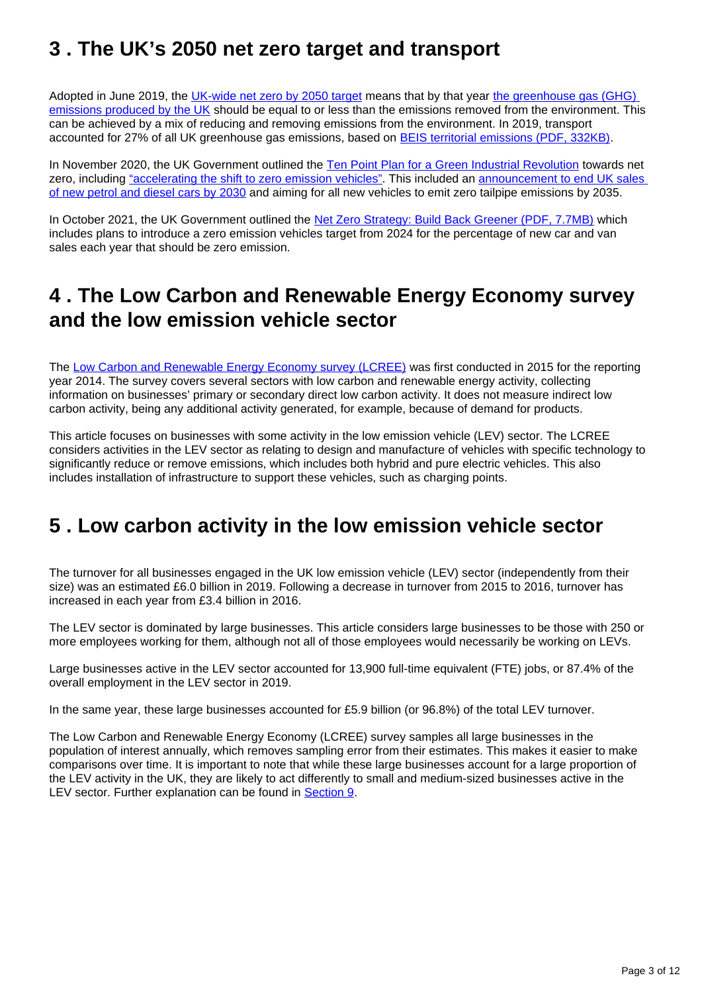## <span id="page-2-0"></span>**3 . The UK's 2050 net zero target and transport**

Adopted in June 2019, the [UK-wide net zero by 2050 target](https://www.gov.uk/government/news/uk-becomes-first-major-economy-to-pass-net-zero-emissions-law) means that by that year the greenhouse gas (GHG) [emissions produced by the UK](https://www.ons.gov.uk/economy/environmentalaccounts/articles/netzeroandthedifferentofficialmeasuresoftheuksgreenhousegasemissions/2019-07-24) should be equal to or less than the emissions removed from the environment. This can be achieved by a mix of reducing and removing emissions from the environment. In 2019, transport accounted for 27% of all UK greenhouse gas emissions, based on [BEIS territorial emissions \(PDF, 332KB\).](https://assets.publishing.service.gov.uk/government/uploads/system/uploads/attachment_data/file/957687/2019_Final_emissions_statistics_one_page_summary.pdf)

In November 2020, the UK Government outlined the [Ten Point Plan for a Green Industrial Revolution](https://www.gov.uk/government/publications/the-ten-point-plan-for-a-green-industrial-revolution) towards net zero, including ["accelerating the shift to zero emission vehicles"](https://www.gov.uk/government/publications/the-ten-point-plan-for-a-green-industrial-revolution/title#point-4-accelerating-the-shift-to-zero-emission-vehicles). This included an announcement to end UK sales [of new petrol and diesel cars by 2030](https://www.gov.uk/government/news/government-takes-historic-step-towards-net-zero-with-end-of-sale-of-new-petrol-and-diesel-cars-by-2030) and aiming for all new vehicles to emit zero tailpipe emissions by 2035.

In October 2021, the UK Government outlined the [Net Zero Strategy: Build Back Greener \(PDF, 7.7MB\)](https://assets.publishing.service.gov.uk/government/uploads/system/uploads/attachment_data/file/1026655/net-zero-strategy.pdf) which includes plans to introduce a zero emission vehicles target from 2024 for the percentage of new car and van sales each year that should be zero emission.

## <span id="page-2-1"></span>**4 . The Low Carbon and Renewable Energy Economy survey and the low emission vehicle sector**

The [Low Carbon and Renewable Energy Economy survey \(LCREE\)](https://www.ons.gov.uk/economy/environmentalaccounts/bulletins/finalestimates/latest) was first conducted in 2015 for the reporting year 2014. The survey covers several sectors with low carbon and renewable energy activity, collecting information on businesses' primary or secondary direct low carbon activity. It does not measure indirect low carbon activity, being any additional activity generated, for example, because of demand for products.

This article focuses on businesses with some activity in the low emission vehicle (LEV) sector. The LCREE considers activities in the LEV sector as relating to design and manufacture of vehicles with specific technology to significantly reduce or remove emissions, which includes both hybrid and pure electric vehicles. This also includes installation of infrastructure to support these vehicles, such as charging points.

## <span id="page-2-2"></span>**5 . Low carbon activity in the low emission vehicle sector**

The turnover for all businesses engaged in the UK low emission vehicle (LEV) sector (independently from their size) was an estimated £6.0 billion in 2019. Following a decrease in turnover from 2015 to 2016, turnover has increased in each year from £3.4 billion in 2016.

The LEV sector is dominated by large businesses. This article considers large businesses to be those with 250 or more employees working for them, although not all of those employees would necessarily be working on LEVs.

Large businesses active in the LEV sector accounted for 13,900 full-time equivalent (FTE) jobs, or 87.4% of the overall employment in the LEV sector in 2019.

In the same year, these large businesses accounted for £5.9 billion (or 96.8%) of the total LEV turnover.

The Low Carbon and Renewable Energy Economy (LCREE) survey samples all large businesses in the population of interest annually, which removes sampling error from their estimates. This makes it easier to make comparisons over time. It is important to note that while these large businesses account for a large proportion of the LEV activity in the UK, they are likely to act differently to small and medium-sized businesses active in the LEV sector. Further explanation can be found in [Section 9](https://www.ons.gov.uk/economy/environmentalaccounts/articles/theukslowemissionsvehiclesector/2021-11-08#data-sources-and-quality).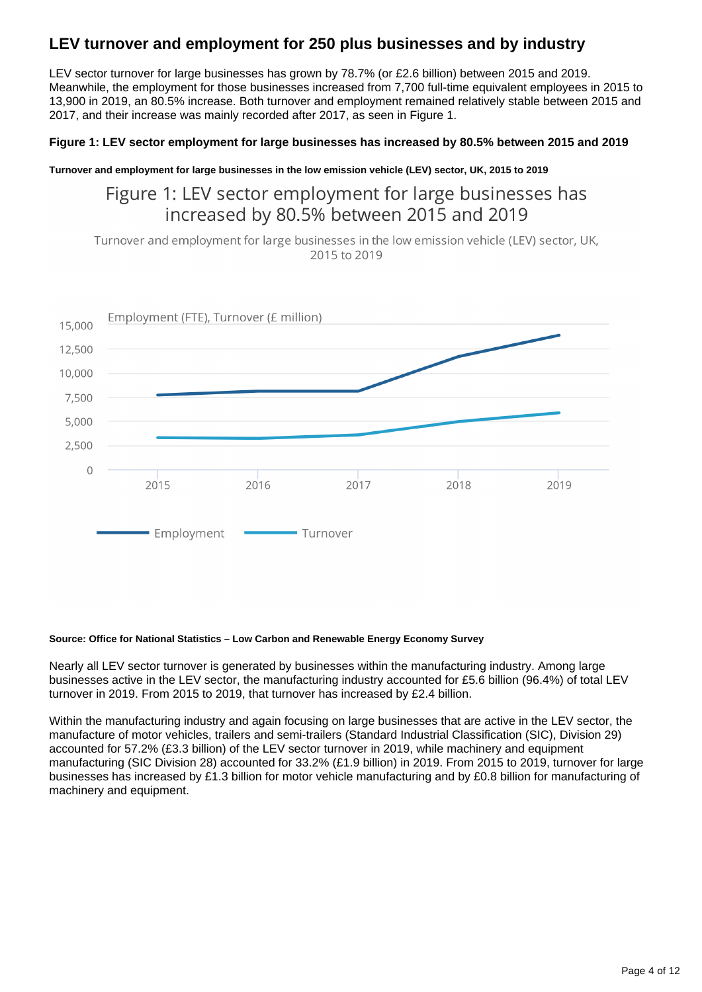### **LEV turnover and employment for 250 plus businesses and by industry**

LEV sector turnover for large businesses has grown by 78.7% (or £2.6 billion) between 2015 and 2019. Meanwhile, the employment for those businesses increased from 7,700 full-time equivalent employees in 2015 to 13,900 in 2019, an 80.5% increase. Both turnover and employment remained relatively stable between 2015 and 2017, and their increase was mainly recorded after 2017, as seen in Figure 1.

### **Figure 1: LEV sector employment for large businesses has increased by 80.5% between 2015 and 2019**

**Turnover and employment for large businesses in the low emission vehicle (LEV) sector, UK, 2015 to 2019**

## Figure 1: LEV sector employment for large businesses has increased by 80.5% between 2015 and 2019

Turnover and employment for large businesses in the low emission vehicle (LEV) sector, UK, 2015 to 2019



#### **Source: Office for National Statistics – Low Carbon and Renewable Energy Economy Survey**

Nearly all LEV sector turnover is generated by businesses within the manufacturing industry. Among large businesses active in the LEV sector, the manufacturing industry accounted for £5.6 billion (96.4%) of total LEV turnover in 2019. From 2015 to 2019, that turnover has increased by £2.4 billion.

Within the manufacturing industry and again focusing on large businesses that are active in the LEV sector, the manufacture of motor vehicles, trailers and semi-trailers (Standard Industrial Classification (SIC), Division 29) accounted for 57.2% (£3.3 billion) of the LEV sector turnover in 2019, while machinery and equipment manufacturing (SIC Division 28) accounted for 33.2% (£1.9 billion) in 2019. From 2015 to 2019, turnover for large businesses has increased by £1.3 billion for motor vehicle manufacturing and by £0.8 billion for manufacturing of machinery and equipment.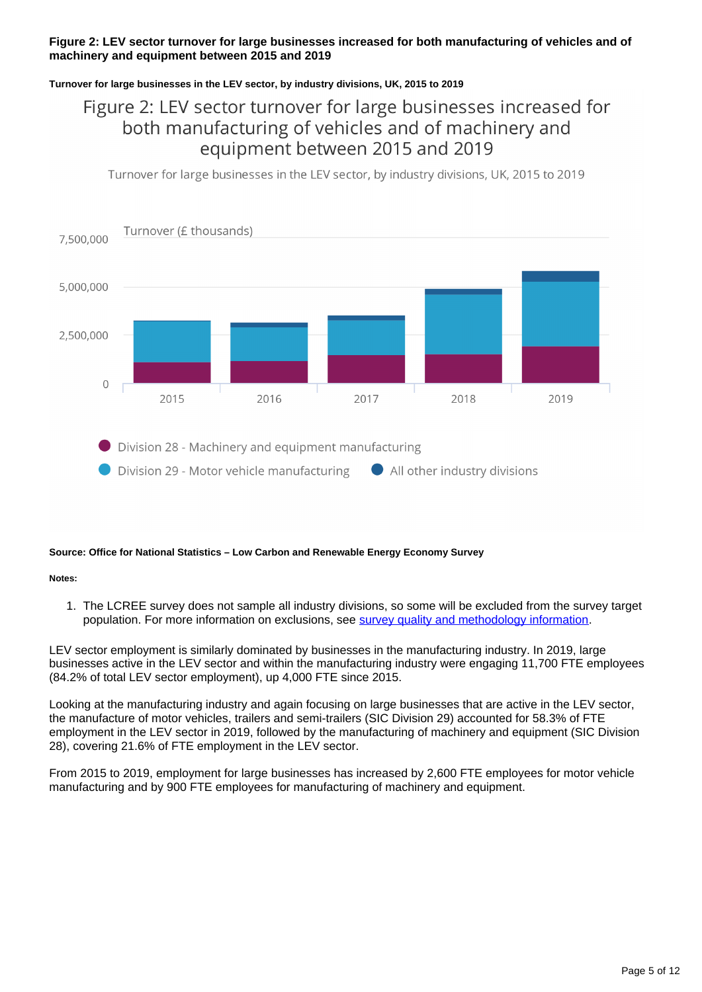#### **Figure 2: LEV sector turnover for large businesses increased for both manufacturing of vehicles and of machinery and equipment between 2015 and 2019**

#### **Turnover for large businesses in the LEV sector, by industry divisions, UK, 2015 to 2019**

## Figure 2: LEV sector turnover for large businesses increased for both manufacturing of vehicles and of machinery and equipment between 2015 and 2019

Turnover for large businesses in the LEV sector, by industry divisions, UK, 2015 to 2019



#### **Source: Office for National Statistics – Low Carbon and Renewable Energy Economy Survey**

**Notes:**

1. The LCREE survey does not sample all industry divisions, so some will be excluded from the survey target population. For more information on exclusions, see [survey quality and methodology information](https://www.ons.gov.uk/economy/environmentalaccounts/methodologies/lowcarbonandrenewableenergyeconomylcreesurveyqmi).

LEV sector employment is similarly dominated by businesses in the manufacturing industry. In 2019, large businesses active in the LEV sector and within the manufacturing industry were engaging 11,700 FTE employees (84.2% of total LEV sector employment), up 4,000 FTE since 2015.

Looking at the manufacturing industry and again focusing on large businesses that are active in the LEV sector, the manufacture of motor vehicles, trailers and semi-trailers (SIC Division 29) accounted for 58.3% of FTE employment in the LEV sector in 2019, followed by the manufacturing of machinery and equipment (SIC Division 28), covering 21.6% of FTE employment in the LEV sector.

From 2015 to 2019, employment for large businesses has increased by 2,600 FTE employees for motor vehicle manufacturing and by 900 FTE employees for manufacturing of machinery and equipment.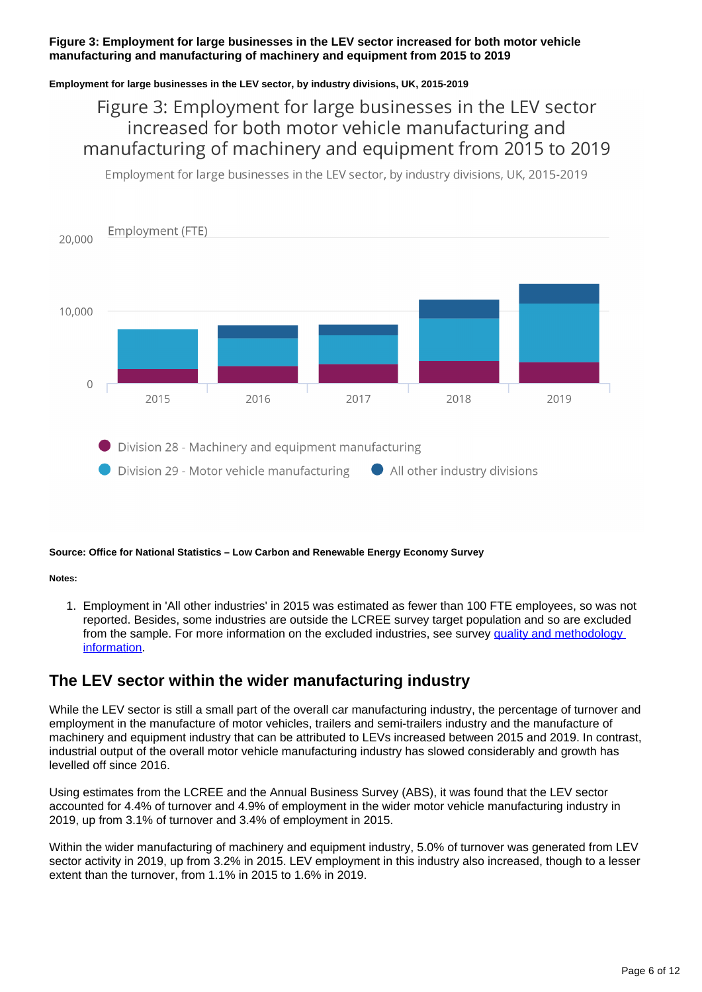#### **Figure 3: Employment for large businesses in the LEV sector increased for both motor vehicle manufacturing and manufacturing of machinery and equipment from 2015 to 2019**

#### **Employment for large businesses in the LEV sector, by industry divisions, UK, 2015-2019**

## Figure 3: Employment for large businesses in the LEV sector increased for both motor vehicle manufacturing and manufacturing of machinery and equipment from 2015 to 2019

Employment for large businesses in the LEV sector, by industry divisions, UK, 2015-2019



#### **Source: Office for National Statistics – Low Carbon and Renewable Energy Economy Survey**

**Notes:**

1. Employment in 'All other industries' in 2015 was estimated as fewer than 100 FTE employees, so was not reported. Besides, some industries are outside the LCREE survey target population and so are excluded from the sample. For more information on the excluded industries, see survey quality and methodology [information](https://www.ons.gov.uk/economy/environmentalaccounts/methodologies/lowcarbonandrenewableenergyeconomylcreesurveyqmi).

### **The LEV sector within the wider manufacturing industry**

While the LEV sector is still a small part of the overall car manufacturing industry, the percentage of turnover and employment in the manufacture of motor vehicles, trailers and semi-trailers industry and the manufacture of machinery and equipment industry that can be attributed to LEVs increased between 2015 and 2019. In contrast, industrial output of the overall motor vehicle manufacturing industry has slowed considerably and growth has levelled off since 2016.

Using estimates from the LCREE and the Annual Business Survey (ABS), it was found that the LEV sector accounted for 4.4% of turnover and 4.9% of employment in the wider motor vehicle manufacturing industry in 2019, up from 3.1% of turnover and 3.4% of employment in 2015.

Within the wider manufacturing of machinery and equipment industry, 5.0% of turnover was generated from LEV sector activity in 2019, up from 3.2% in 2015. LEV employment in this industry also increased, though to a lesser extent than the turnover, from 1.1% in 2015 to 1.6% in 2019.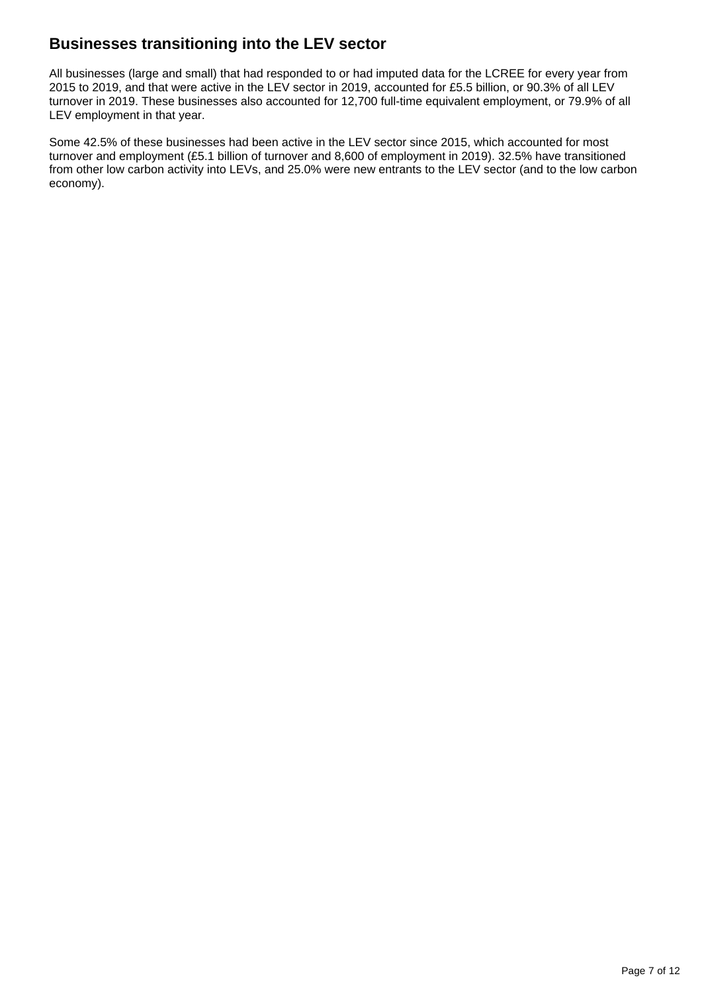### **Businesses transitioning into the LEV sector**

All businesses (large and small) that had responded to or had imputed data for the LCREE for every year from 2015 to 2019, and that were active in the LEV sector in 2019, accounted for £5.5 billion, or 90.3% of all LEV turnover in 2019. These businesses also accounted for 12,700 full-time equivalent employment, or 79.9% of all LEV employment in that year.

Some 42.5% of these businesses had been active in the LEV sector since 2015, which accounted for most turnover and employment (£5.1 billion of turnover and 8,600 of employment in 2019). 32.5% have transitioned from other low carbon activity into LEVs, and 25.0% were new entrants to the LEV sector (and to the low carbon economy).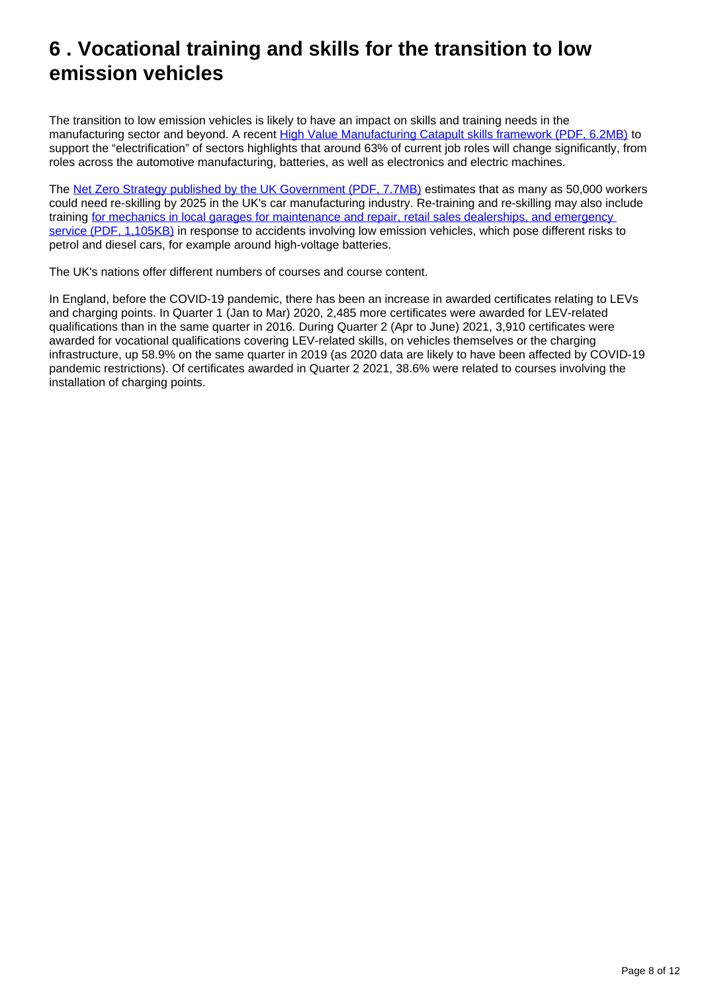## <span id="page-7-0"></span>**6 . Vocational training and skills for the transition to low emission vehicles**

The transition to low emission vehicles is likely to have an impact on skills and training needs in the manufacturing sector and beyond. A recent [High Value Manufacturing Catapult skills framework \(PDF, 6.2MB\)](https://hvm.catapult.org.uk/wp-content/uploads/2021/09/National-Electrification-Skills-Forum-Brochure.pdf) to support the "electrification" of sectors highlights that around 63% of current job roles will change significantly, from roles across the automotive manufacturing, batteries, as well as electronics and electric machines.

The [Net Zero Strategy published by the UK Government \(PDF, 7.7MB\)](https://assets.publishing.service.gov.uk/government/uploads/system/uploads/attachment_data/file/1028157/net-zero-strategy.pdf) estimates that as many as 50,000 workers could need re-skilling by 2025 in the UK's car manufacturing industry. Re-training and re-skilling may also include training [for mechanics in local garages for maintenance and repair, retail sales dealerships, and emergency](https://www.faraday.ac.uk/wp-content/uploads/2021/05/Faraday_Insights_4_Update_May2021.pdf)  [service \(PDF, 1,105KB\)](https://www.faraday.ac.uk/wp-content/uploads/2021/05/Faraday_Insights_4_Update_May2021.pdf) in response to accidents involving low emission vehicles, which pose different risks to petrol and diesel cars, for example around high-voltage batteries.

The UK's nations offer different numbers of courses and course content.

In England, before the COVID-19 pandemic, there has been an increase in awarded certificates relating to LEVs and charging points. In Quarter 1 (Jan to Mar) 2020, 2,485 more certificates were awarded for LEV-related qualifications than in the same quarter in 2016. During Quarter 2 (Apr to June) 2021, 3,910 certificates were awarded for vocational qualifications covering LEV-related skills, on vehicles themselves or the charging infrastructure, up 58.9% on the same quarter in 2019 (as 2020 data are likely to have been affected by COVID-19 pandemic restrictions). Of certificates awarded in Quarter 2 2021, 38.6% were related to courses involving the installation of charging points.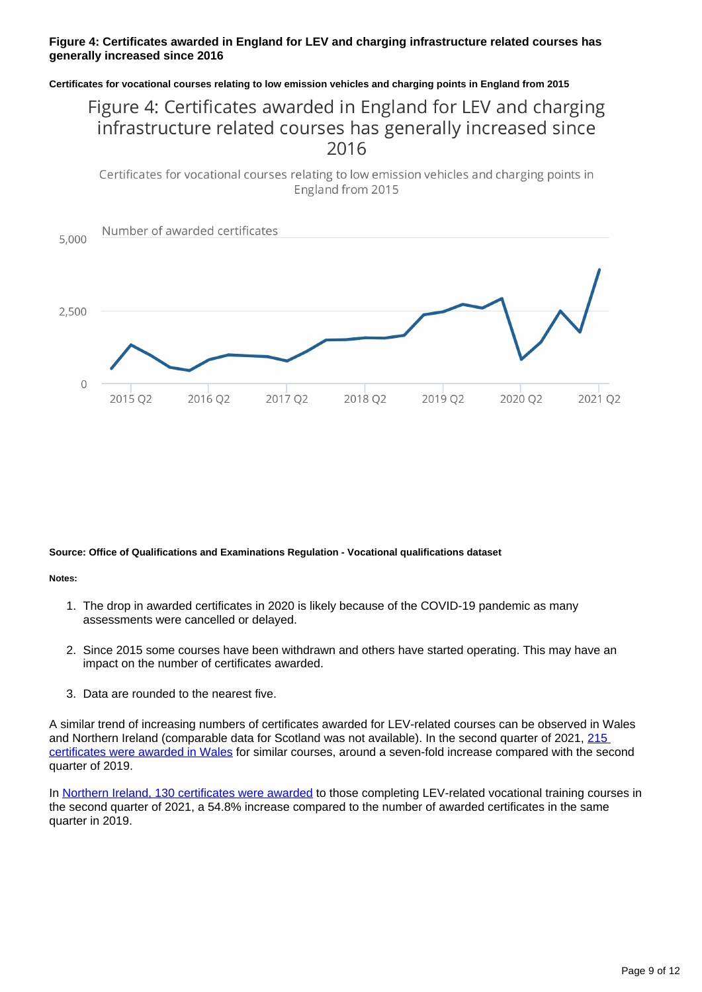#### **Figure 4: Certificates awarded in England for LEV and charging infrastructure related courses has generally increased since 2016**

#### **Certificates for vocational courses relating to low emission vehicles and charging points in England from 2015**

## Figure 4: Certificates awarded in England for LEV and charging infrastructure related courses has generally increased since 2016

Certificates for vocational courses relating to low emission vehicles and charging points in England from 2015



#### **Source: Office of Qualifications and Examinations Regulation - Vocational qualifications dataset**

#### **Notes:**

- 1. The drop in awarded certificates in 2020 is likely because of the COVID-19 pandemic as many assessments were cancelled or delayed.
- 2. Since 2015 some courses have been withdrawn and others have started operating. This may have an impact on the number of certificates awarded.
- 3. Data are rounded to the nearest five.

A similar trend of increasing numbers of certificates awarded for LEV-related courses can be observed in Wales and Northern Ireland (comparable data for Scotland was not available). In the second quarter of 2021, [215](https://www.qualificationswales.org/english/publications/vocational-quarterly-statistics/)  [certificates were awarded in Wales](https://www.qualificationswales.org/english/publications/vocational-quarterly-statistics/) for similar courses, around a seven-fold increase compared with the second quarter of 2019.

In [Northern Ireland, 130 certificates were awarded](https://ccea.org.uk/regulation/reports-statistics/technical-and-professional-qualification-bulletins) to those completing LEV-related vocational training courses in the second quarter of 2021, a 54.8% increase compared to the number of awarded certificates in the same quarter in 2019.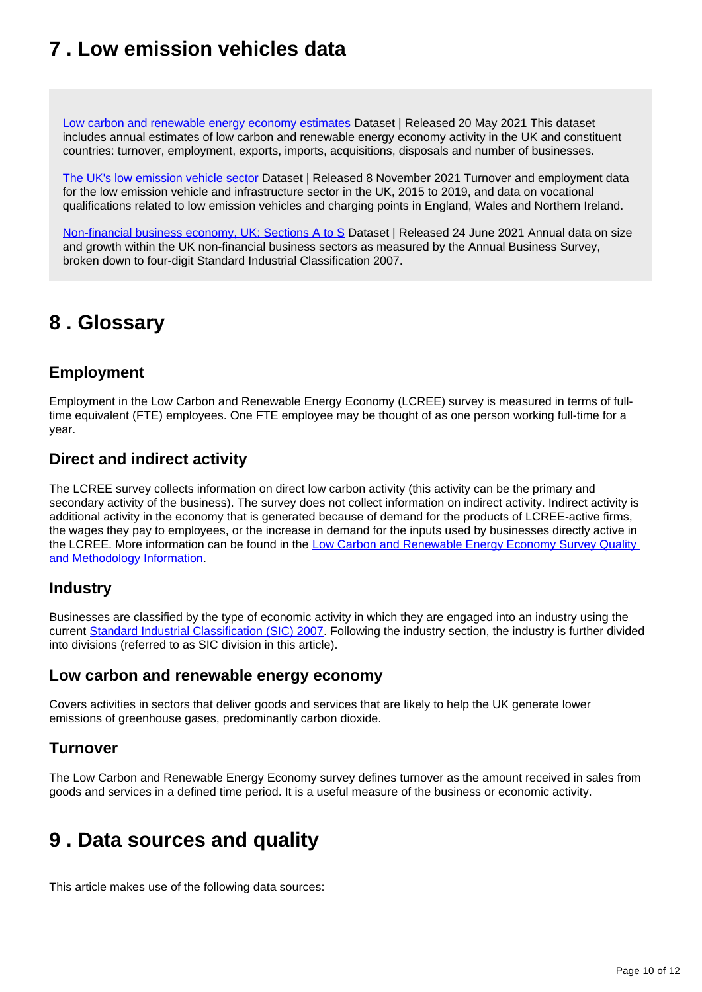## <span id="page-9-0"></span>**7 . Low emission vehicles data**

[Low carbon and renewable energy economy estimates](https://www.ons.gov.uk/economy/environmentalaccounts/datasets/lowcarbonandrenewableenergyeconomyfirstestimatesdataset) Dataset | Released 20 May 2021 This dataset includes annual estimates of low carbon and renewable energy economy activity in the UK and constituent countries: turnover, employment, exports, imports, acquisitions, disposals and number of businesses.

[The UK's low emission vehicle sector](https://www.ons.gov.uk/economy/environmentalaccounts/datasets/theukslowemissionsvehiclesector) Dataset | Released 8 November 2021 Turnover and employment data for the low emission vehicle and infrastructure sector in the UK, 2015 to 2019, and data on vocational qualifications related to low emission vehicles and charging points in England, Wales and Northern Ireland.

[Non-financial business economy, UK: Sections A to S](https://www.ons.gov.uk/businessindustryandtrade/business/businessservices/datasets/uknonfinancialbusinesseconomyannualbusinesssurveysectionsas) Dataset | Released 24 June 2021 Annual data on size and growth within the UK non-financial business sectors as measured by the Annual Business Survey, broken down to four-digit Standard Industrial Classification 2007.

## <span id="page-9-1"></span>**8 . Glossary**

### **Employment**

Employment in the Low Carbon and Renewable Energy Economy (LCREE) survey is measured in terms of fulltime equivalent (FTE) employees. One FTE employee may be thought of as one person working full-time for a year.

### **Direct and indirect activity**

The LCREE survey collects information on direct low carbon activity (this activity can be the primary and secondary activity of the business). The survey does not collect information on indirect activity. Indirect activity is additional activity in the economy that is generated because of demand for the products of LCREE-active firms, the wages they pay to employees, or the increase in demand for the inputs used by businesses directly active in the LCREE. More information can be found in the Low Carbon and Renewable Energy Economy Survey Quality [and Methodology Information](https://www.ons.gov.uk/economy/environmentalaccounts/methodologies/lowcarbonandrenewableenergyeconomylcreesurveyqmi).

### **Industry**

Businesses are classified by the type of economic activity in which they are engaged into an industry using the current [Standard Industrial Classification \(SIC\) 2007.](https://onsdigital.github.io/dp-classification-tools/standard-industrial-classification/ONS_SIC_hierarchy_view.html) Following the industry section, the industry is further divided into divisions (referred to as SIC division in this article).

### **Low carbon and renewable energy economy**

Covers activities in sectors that deliver goods and services that are likely to help the UK generate lower emissions of greenhouse gases, predominantly carbon dioxide.

### **Turnover**

The Low Carbon and Renewable Energy Economy survey defines turnover as the amount received in sales from goods and services in a defined time period. It is a useful measure of the business or economic activity.

## <span id="page-9-2"></span>**9 . Data sources and quality**

This article makes use of the following data sources: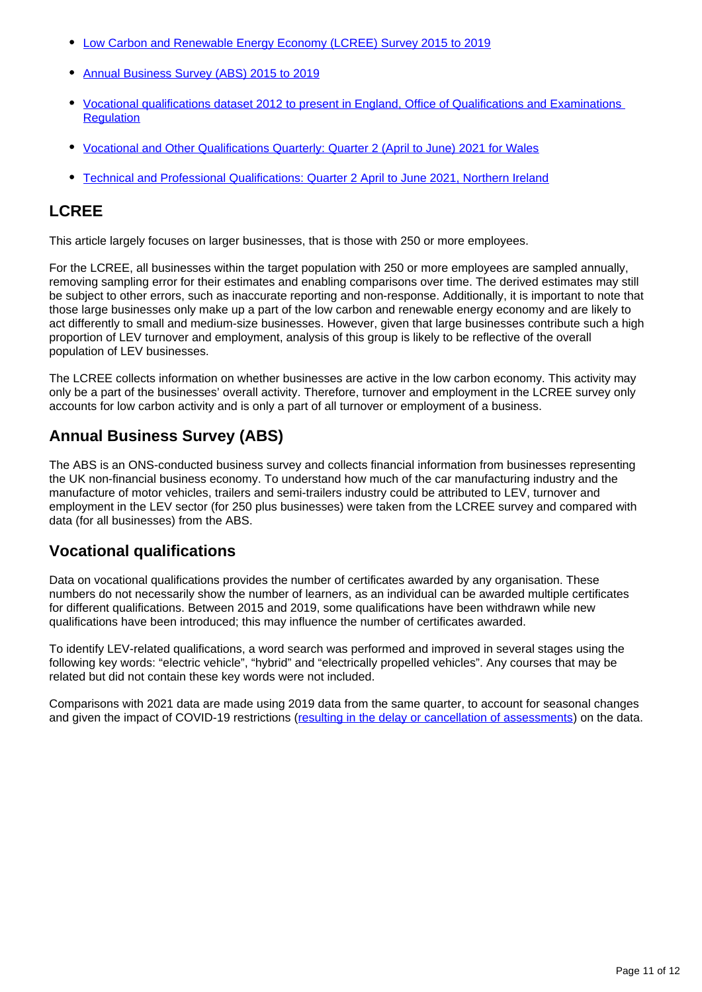- [Low Carbon and Renewable Energy Economy \(LCREE\) Survey 2015 to 2019](https://www.ons.gov.uk/economy/environmentalaccounts/datasets/lowcarbonandrenewableenergyeconomyfirstestimatesdataset)
- [Annual Business Survey \(ABS\) 2015 to 2019](https://www.ons.gov.uk/businessindustryandtrade/business/businessservices/datasets/uknonfinancialbusinesseconomyannualbusinesssurveysectionsas)
- [Vocational qualifications dataset 2012 to present in England, Office of Qualifications and Examinations](https://www.gov.uk/government/statistical-data-sets/vocational-qualifications-dataset)  **Requlation**
- [Vocational and Other Qualifications Quarterly: Quarter 2 \(April to June\) 2021 for Wales](https://www.qualificationswales.org/english/publications/vocational-quarterly-statistics/)
- [Technical and Professional Qualifications: Quarter 2 April to June 2021, Northern Ireland](https://ccea.org.uk/regulation/reports-statistics/technical-and-professional-qualification-bulletins)

### **LCREE**

This article largely focuses on larger businesses, that is those with 250 or more employees.

For the LCREE, all businesses within the target population with 250 or more employees are sampled annually, removing sampling error for their estimates and enabling comparisons over time. The derived estimates may still be subject to other errors, such as inaccurate reporting and non-response. Additionally, it is important to note that those large businesses only make up a part of the low carbon and renewable energy economy and are likely to act differently to small and medium-size businesses. However, given that large businesses contribute such a high proportion of LEV turnover and employment, analysis of this group is likely to be reflective of the overall population of LEV businesses.

The LCREE collects information on whether businesses are active in the low carbon economy. This activity may only be a part of the businesses' overall activity. Therefore, turnover and employment in the LCREE survey only accounts for low carbon activity and is only a part of all turnover or employment of a business.

### **Annual Business Survey (ABS)**

The ABS is an ONS-conducted business survey and collects financial information from businesses representing the UK non-financial business economy. To understand how much of the car manufacturing industry and the manufacture of motor vehicles, trailers and semi-trailers industry could be attributed to LEV, turnover and employment in the LEV sector (for 250 plus businesses) were taken from the LCREE survey and compared with data (for all businesses) from the ABS.

### **Vocational qualifications**

Data on vocational qualifications provides the number of certificates awarded by any organisation. These numbers do not necessarily show the number of learners, as an individual can be awarded multiple certificates for different qualifications. Between 2015 and 2019, some qualifications have been withdrawn while new qualifications have been introduced; this may influence the number of certificates awarded.

To identify LEV-related qualifications, a word search was performed and improved in several stages using the following key words: "electric vehicle", "hybrid" and "electrically propelled vehicles". Any courses that may be related but did not contain these key words were not included.

Comparisons with 2021 data are made using 2019 data from the same quarter, to account for seasonal changes and given the impact of COVID-19 restrictions ([resulting in the delay or cancellation of assessments](https://analytics.ofqual.gov.uk/apps/VTQ/VTQLandscape/)) on the data.